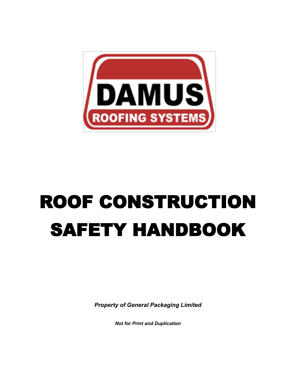

# ROOF CONSTRUCTION SAFETY HANDBOOK

*Property of General Packaging Limited*

*Not for Print and Duplication*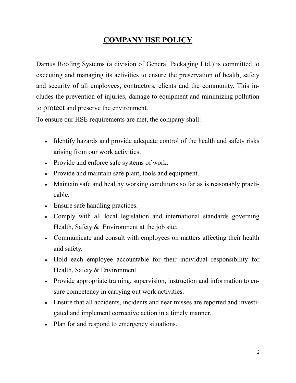# **COMPANY HSE POLICY**

Damus Roofing Systems (a division of General Packaging Ltd.) is committed to executing and managing its activities to ensure the preservation of health, safety and security of all employees, contractors, clients and the community. This includes the prevention of injuries, damage to equipment and minimizing pollution to protect and preserve the environment.

To ensure our HSE requirements are met, the company shall:

- Identify hazards and provide adequate control of the health and safety risks arising from our work activities.
- Provide and enforce safe systems of work.
- Provide and maintain safe plant, tools and equipment.
- Maintain safe and healthy working conditions so far as is reasonably practicable.
- Ensure safe handling practices.
- Comply with all local legislation and international standards governing Health, Safety & Environment at the job site.
- Communicate and consult with employees on matters affecting their health and safety.
- Hold each employee accountable for their individual responsibility for Health, Safety & Environment.
- Provide appropriate training, supervision, instruction and information to ensure competency in carrying out work activities.
- Ensure that all accidents, incidents and near misses are reported and investigated and implement corrective action in a timely manner.
- Plan for and respond to emergency situations.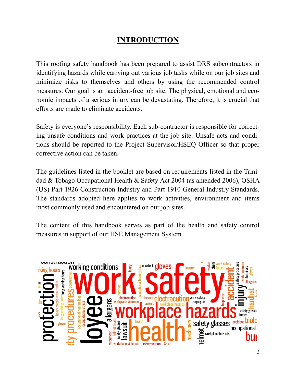# **INTRODUCTION**

This roofing safety handbook has been prepared to assist DRS subcontractors in identifying hazards while carrying out various job tasks while on our job sites and minimize risks to themselves and others by using the recommended control measures. Our goal is an accident-free job site. The physical, emotional and economic impacts of a serious injury can be devastating. Therefore, it is crucial that efforts are made to eliminate accidents.

Safety is everyone's responsibility. Each sub-contractor is responsible for correcting unsafe conditions and work practices at the job site. Unsafe acts and conditions should be reported to the Project Supervisor/HSEQ Officer so that proper corrective action can be taken.

The guidelines listed in the booklet are based on requirements listed in the Trinidad & Tobago Occupational Health & Safety Act 2004 (as amended 2006), OSHA (US) Part 1926 Construction Industry and Part 1910 General Industry Standards. The standards adopted here applies to work activities, environment and items most commonly used and encountered on our job sites.

The content of this handbook serves as part of the health and safety control measures in support of our HSE Management System.

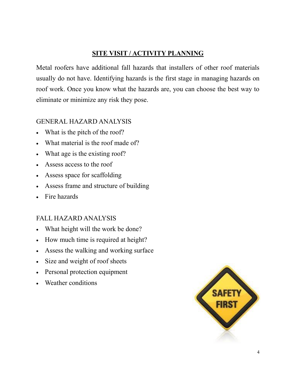## **SITE VISIT / ACTIVITY PLANNING**

Metal roofers have additional fall hazards that installers of other roof materials usually do not have. Identifying hazards is the first stage in managing hazards on roof work. Once you know what the hazards are, you can choose the best way to eliminate or minimize any risk they pose.

## GENERAL HAZARD ANALYSIS

- What is the pitch of the roof?
- What material is the roof made of?
- What age is the existing roof?
- Assess access to the roof
- Assess space for scaffolding
- Assess frame and structure of building
- Fire hazards

#### FALL HAZARD ANALYSIS

- What height will the work be done?
- How much time is required at height?
- Assess the walking and working surface
- Size and weight of roof sheets
- Personal protection equipment
- Weather conditions

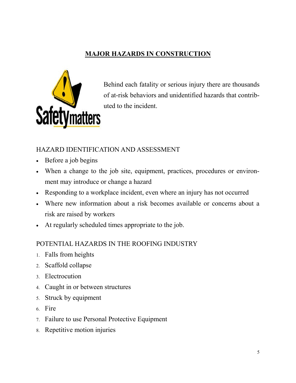# **MAJOR HAZARDS IN CONSTRUCTION**



Behind each fatality or serious injury there are thousands of at-risk behaviors and unidentified hazards that contributed to the incident.

## HAZARD IDENTIFICATION AND ASSESSMENT

- Before a job begins
- When a change to the job site, equipment, practices, procedures or environment may introduce or change a hazard
- Responding to a workplace incident, even where an injury has not occurred
- Where new information about a risk becomes available or concerns about a risk are raised by workers
- At regularly scheduled times appropriate to the job.

#### POTENTIAL HAZARDS IN THE ROOFING INDUSTRY

- Falls from heights
- 2. Scaffold collapse
- 3 Electrocution
- Caught in or between structures
- Struck by equipment
- 6. Fire
- Failure to use Personal Protective Equipment
- Repetitive motion injuries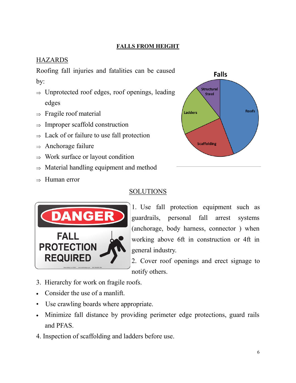#### **FALLS FROM HEIGHT**

# **HAZARDS**

Roofing fall injuries and fatalities can be caused by:

- $\Rightarrow$  Unprotected roof edges, roof openings, leading edges
- $\Rightarrow$  Fragile roof material
- $\Rightarrow$  Improper scaffold construction
- $\Rightarrow$  Lack of or failure to use fall protection
- $\Rightarrow$  Anchorage failure
- $\Rightarrow$  Work surface or layout condition
- $\Rightarrow$  Material handling equipment and method
- $\Rightarrow$  Human error

## SOLUTIONS



1. Use fall protection equipment such as guardrails, personal fall arrest systems (anchorage, body harness, connector ) when working above 6ft in construction or 4ft in general industry.

2. Cover roof openings and erect signage to notify others.

- 3. Hierarchy for work on fragile roofs.
- Consider the use of a manlift.
- Use crawling boards where appropriate.
- Minimize fall distance by providing perimeter edge protections, guard rails and PFAS.
- 4. Inspection of scaffolding and ladders before use.

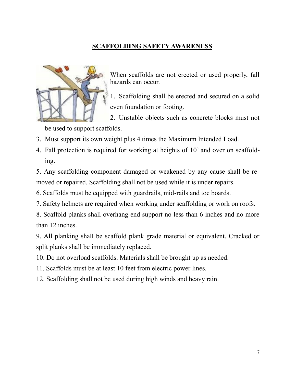# **SCAFFOLDING SAFETY AWARENESS**



When scaffolds are not erected or used properly, fall hazards can occur.

1. Scaffolding shall be erected and secured on a solid even foundation or footing.

2. Unstable objects such as concrete blocks must not be used to support scaffolds.

3. Must support its own weight plus 4 times the Maximum Intended Load.

4. Fall protection is required for working at heights of 10' and over on scaffolding.

5. Any scaffolding component damaged or weakened by any cause shall be removed or repaired. Scaffolding shall not be used while it is under repairs.

6. Scaffolds must be equipped with guardrails, mid-rails and toe boards.

7. Safety helmets are required when working under scaffolding or work on roofs.

8. Scaffold planks shall overhang end support no less than 6 inches and no more than 12 inches.

9. All planking shall be scaffold plank grade material or equivalent. Cracked or split planks shall be immediately replaced.

10. Do not overload scaffolds. Materials shall be brought up as needed.

11. Scaffolds must be at least 10 feet from electric power lines.

12. Scaffolding shall not be used during high winds and heavy rain.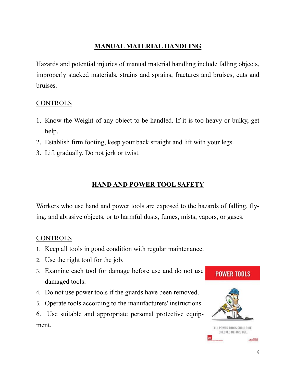# **MANUAL MATERIAL HANDLING**

Hazards and potential injuries of manual material handling include falling objects, improperly stacked materials, strains and sprains, fractures and bruises, cuts and bruises.

## CONTROLS

- 1. Know the Weight of any object to be handled. If it is too heavy or bulky, get help.
- 2. Establish firm footing, keep your back straight and lift with your legs.
- 3. Lift gradually. Do not jerk or twist.

# **HAND AND POWER TOOL SAFETY**

Workers who use hand and power tools are exposed to the hazards of falling, flying, and abrasive objects, or to harmful dusts, fumes, mists, vapors, or gases.

#### CONTROLS

- 1. Keep all tools in good condition with regular maintenance.
- Use the right tool for the job.
- Examine each tool for damage before use and do not use damaged tools.
- Do not use power tools if the guards have been removed.
- Operate tools according to the manufacturers' instructions.
- 6. Use suitable and appropriate personal protective equipment.

## **POWER TOOLS**



ALL POWER TOOLS SHOULD BE CHECKED BEFORE USE.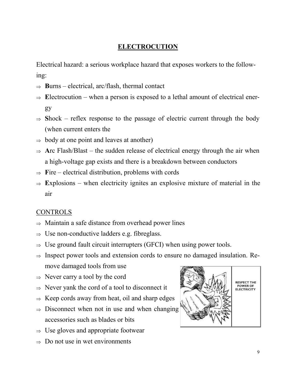## **ELECTROCUTION**

Electrical hazard: a serious workplace hazard that exposes workers to the following:

- $\Rightarrow$  **Burns** electrical, arc/flash, thermal contact
- $\Rightarrow$  Electrocution when a person is exposed to a lethal amount of electrical energy
- $\Rightarrow$  Shock reflex response to the passage of electric current through the body (when current enters the
- $\Rightarrow$  body at one point and leaves at another)
- $\Rightarrow$  **Arc** Flash/Blast the sudden release of electrical energy through the air when a high-voltage gap exists and there is a breakdown between conductors
- $\Rightarrow$  Fire electrical distribution, problems with cords
- $\Rightarrow$  Explosions when electricity ignites an explosive mixture of material in the air

#### CONTROLS

- $\Rightarrow$  Maintain a safe distance from overhead power lines
- $\Rightarrow$  Use non-conductive ladders e.g. fibreglass.
- $\Rightarrow$  Use ground fault circuit interrupters (GFCI) when using power tools.
- $\Rightarrow$  Inspect power tools and extension cords to ensure no damaged insulation. Remove damaged tools from use
- $\Rightarrow$  Never carry a tool by the cord
- $\Rightarrow$  Never yank the cord of a tool to disconnect it
- $\Rightarrow$  Keep cords away from heat, oil and sharp edges
- $\Rightarrow$  Disconnect when not in use and when changing accessories such as blades or bits
- $\Rightarrow$  Use gloves and appropriate footwear
- $\Rightarrow$  Do not use in wet environments

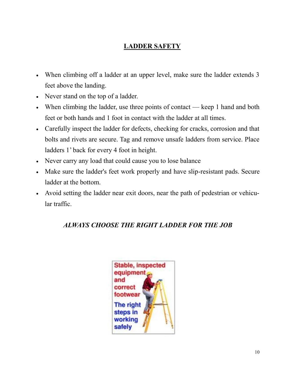# **LADDER SAFETY**

- When climbing off a ladder at an upper level, make sure the ladder extends 3 feet above the landing.
- Never stand on the top of a ladder.
- When climbing the ladder, use three points of contact keep 1 hand and both feet or both hands and 1 foot in contact with the ladder at all times.
- Carefully inspect the ladder for defects, checking for cracks, corrosion and that bolts and rivets are secure. Tag and remove unsafe ladders from service. Place ladders 1' back for every 4 foot in height.
- Never carry any load that could cause you to lose balance
- Make sure the ladder's feet work properly and have slip-resistant pads. Secure ladder at the bottom.
- Avoid setting the ladder near exit doors, near the path of pedestrian or vehicular traffic.

# *ALWAYS CHOOSE THE RIGHT LADDER FOR THE JOB*

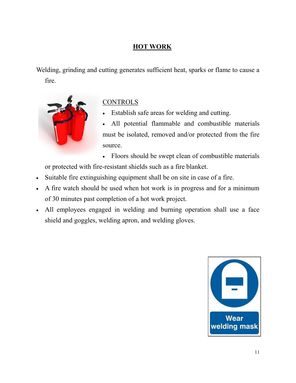## **HOT WORK**

Welding, grinding and cutting generates sufficient heat, sparks or flame to cause a fire.



# **CONTROLS**

Establish safe areas for welding and cutting.

All potential flammable and combustible materials must be isolated, removed and/or protected from the fire source.

• Floors should be swept clean of combustible materials

or protected with fire-resistant shields such as a fire blanket.

- Suitable fire extinguishing equipment shall be on site in case of a fire.
- A fire watch should be used when hot work is in progress and for a minimum of 30 minutes past completion of a hot work project.
- All employees engaged in welding and burning operation shall use a face shield and goggles, welding apron, and welding gloves.

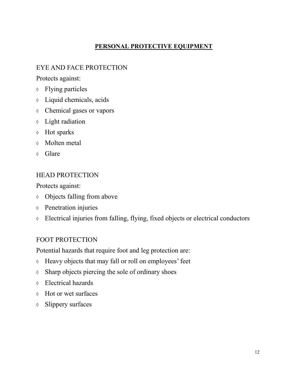#### **PERSONAL PROTECTIVE EQUIPMENT**

## EYE AND FACE PROTECTION

Protects against:

- Flying particles
- Liquid chemicals, acids
- Chemical gases or vapors
- Light radiation
- Hot sparks
- Molten metal
- Glare

#### HEAD PROTECTION

Protects against:

- Objects falling from above
- Penetration injuries
- Electrical injuries from falling, flying, fixed objects or electrical conductors

#### FOOT PROTECTION

Potential hazards that require foot and leg protection are:

- Heavy objects that may fall or roll on employees' feet
- $\Diamond$  Sharp objects piercing the sole of ordinary shoes
- Electrical hazards
- Hot or wet surfaces
- Slippery surfaces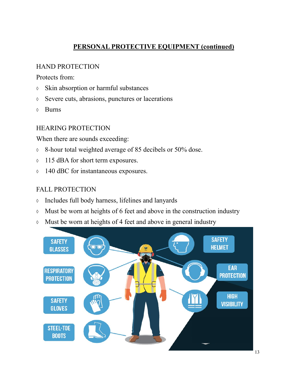# **PERSONAL PROTECTIVE EQUIPMENT (continued)**

#### HAND PROTECTION

Protects from:

- Skin absorption or harmful substances
- $\Diamond$  Severe cuts, abrasions, punctures or lacerations
- Burns

#### HEARING PROTECTION

When there are sounds exceeding:

- 8-hour total weighted average of 85 decibels or 50% dose.
- $\lozenge$  115 dBA for short term exposures.
- $\lozenge$  140 dBC for instantaneous exposures.

## FALL PROTECTION

- Includes full body harness, lifelines and lanyards
- $\lozenge$  Must be worn at heights of 6 feet and above in the construction industry
- Must be worn at heights of 4 feet and above in general industry

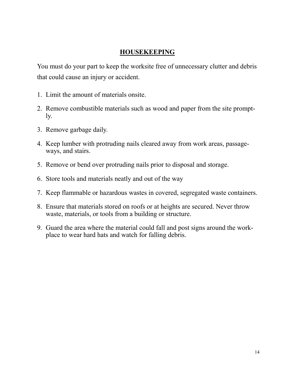#### **HOUSEKEEPING**

You must do your part to keep the worksite free of unnecessary clutter and debris that could cause an injury or accident.

- 1. Limit the amount of materials onsite.
- 2. Remove combustible materials such as wood and paper from the site promptly.
- 3. Remove garbage daily.
- 4. Keep lumber with protruding nails cleared away from work areas, passageways, and stairs.
- 5. Remove or bend over protruding nails prior to disposal and storage.
- 6. Store tools and materials neatly and out of the way
- 7. Keep flammable or hazardous wastes in covered, segregated waste containers.
- 8. Ensure that materials stored on roofs or at heights are secured. Never throw waste, materials, or tools from a building or structure.
- 9. Guard the area where the material could fall and post signs around the workplace to wear hard hats and watch for falling debris.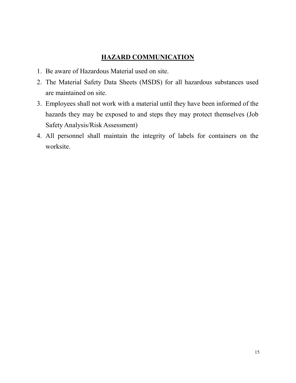#### **HAZARD COMMUNICATION**

- 1. Be aware of Hazardous Material used on site.
- 2. The Material Safety Data Sheets (MSDS) for all hazardous substances used are maintained on site.
- 3. Employees shall not work with a material until they have been informed of the hazards they may be exposed to and steps they may protect themselves (Job Safety Analysis/Risk Assessment)
- 4. All personnel shall maintain the integrity of labels for containers on the worksite.